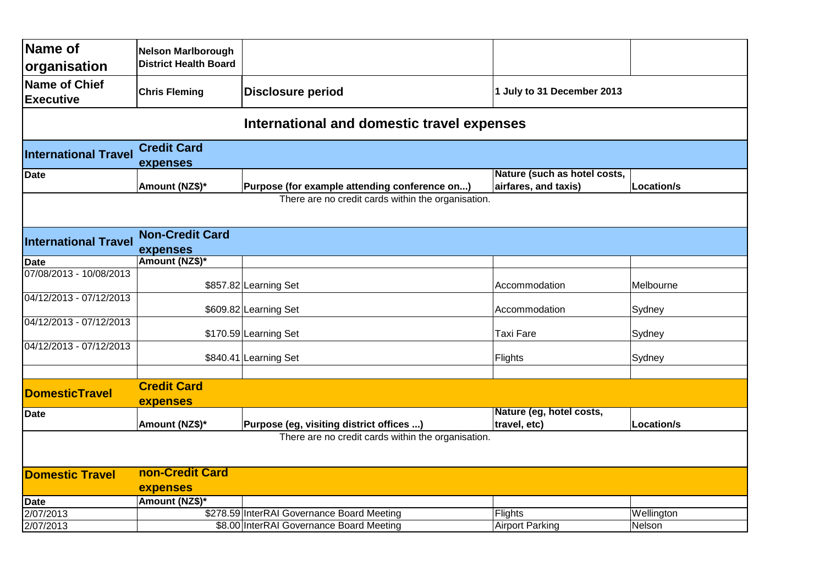| Name of                                    | Nelson Marlborough           |                                                    |                              |                   |  |  |  |
|--------------------------------------------|------------------------------|----------------------------------------------------|------------------------------|-------------------|--|--|--|
| organisation                               | <b>District Health Board</b> |                                                    |                              |                   |  |  |  |
| Name of Chief                              |                              |                                                    |                              |                   |  |  |  |
| <b>Executive</b>                           | <b>Chris Fleming</b>         | <b>Disclosure period</b>                           | 1 July to 31 December 2013   |                   |  |  |  |
|                                            |                              |                                                    |                              |                   |  |  |  |
| International and domestic travel expenses |                              |                                                    |                              |                   |  |  |  |
| <b>International Travel</b>                | <b>Credit Card</b>           |                                                    |                              |                   |  |  |  |
|                                            | expenses                     |                                                    |                              |                   |  |  |  |
| <b>Date</b>                                |                              |                                                    | Nature (such as hotel costs, |                   |  |  |  |
|                                            | Amount (NZ\$)*               | Purpose (for example attending conference on)      | airfares, and taxis)         | <b>Location/s</b> |  |  |  |
|                                            |                              | There are no credit cards within the organisation. |                              |                   |  |  |  |
|                                            |                              |                                                    |                              |                   |  |  |  |
|                                            | <b>Non-Credit Card</b>       |                                                    |                              |                   |  |  |  |
| <b>International Travel</b>                | expenses                     |                                                    |                              |                   |  |  |  |
| <b>Date</b>                                | Amount (NZ\$)*               |                                                    |                              |                   |  |  |  |
| 07/08/2013 - 10/08/2013                    |                              |                                                    |                              |                   |  |  |  |
|                                            |                              | \$857.82 Learning Set                              | Accommodation                | Melbourne         |  |  |  |
| 04/12/2013 - 07/12/2013                    |                              |                                                    |                              |                   |  |  |  |
|                                            |                              | \$609.82 Learning Set                              | Accommodation                | Sydney            |  |  |  |
| 04/12/2013 - 07/12/2013                    |                              | \$170.59 Learning Set                              | Taxi Fare                    | Sydney            |  |  |  |
| 04/12/2013 - 07/12/2013                    |                              |                                                    |                              |                   |  |  |  |
|                                            |                              | \$840.41 Learning Set                              | Flights                      | Sydney            |  |  |  |
|                                            |                              |                                                    |                              |                   |  |  |  |
|                                            | <b>Credit Card</b>           |                                                    |                              |                   |  |  |  |
| <b>DomesticTravel</b>                      | expenses                     |                                                    |                              |                   |  |  |  |
| <b>Date</b>                                |                              |                                                    | Nature (eg, hotel costs,     |                   |  |  |  |
|                                            | Amount (NZ\$)*               | Purpose (eg, visiting district offices )           | travel, etc)                 | <b>Location/s</b> |  |  |  |
|                                            |                              | There are no credit cards within the organisation. |                              |                   |  |  |  |
|                                            |                              |                                                    |                              |                   |  |  |  |
|                                            |                              |                                                    |                              |                   |  |  |  |
| <b>Domestic Travel</b>                     | non-Credit Card              |                                                    |                              |                   |  |  |  |
|                                            | expenses                     |                                                    |                              |                   |  |  |  |
| <b>Date</b>                                | Amount (NZ\$)*               |                                                    |                              |                   |  |  |  |
| 2/07/2013                                  |                              | \$278.59 InterRAI Governance Board Meeting         | <b>Flights</b>               | Wellington        |  |  |  |
| 2/07/2013                                  |                              | \$8.00 InterRAI Governance Board Meeting           | <b>Airport Parking</b>       | Nelson            |  |  |  |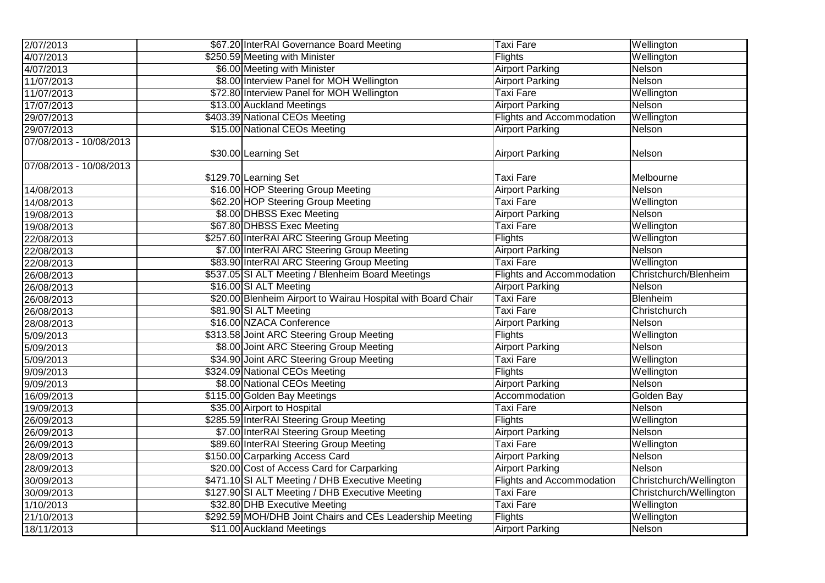| 2/07/2013               | \$67.20 InterRAI Governance Board Meeting                    | <b>Taxi Fare</b>                 | Wellington              |
|-------------------------|--------------------------------------------------------------|----------------------------------|-------------------------|
| 4/07/2013               | \$250.59 Meeting with Minister                               | <b>Flights</b>                   | Wellington              |
| 4/07/2013               | \$6.00 Meeting with Minister                                 | <b>Airport Parking</b>           | Nelson                  |
| 11/07/2013              | \$8.00 Interview Panel for MOH Wellington                    | <b>Airport Parking</b>           | Nelson                  |
| 11/07/2013              | \$72.80 Interview Panel for MOH Wellington                   | Taxi Fare                        | Wellington              |
| 17/07/2013              | \$13.00 Auckland Meetings                                    | <b>Airport Parking</b>           | Nelson                  |
| 29/07/2013              | \$403.39 National CEOs Meeting                               | Flights and Accommodation        | Wellington              |
| 29/07/2013              | \$15.00 National CEOs Meeting                                | <b>Airport Parking</b>           | Nelson                  |
| 07/08/2013 - 10/08/2013 |                                                              |                                  |                         |
|                         | \$30.00 Learning Set                                         | <b>Airport Parking</b>           | Nelson                  |
| 07/08/2013 - 10/08/2013 |                                                              |                                  |                         |
|                         | \$129.70 Learning Set                                        | <b>Taxi Fare</b>                 | Melbourne               |
| 14/08/2013              | \$16.00 HOP Steering Group Meeting                           | <b>Airport Parking</b>           | Nelson                  |
| 14/08/2013              | \$62.20 HOP Steering Group Meeting                           | <b>Taxi Fare</b>                 | Wellington              |
| 19/08/2013              | \$8.00 DHBSS Exec Meeting                                    | <b>Airport Parking</b>           | Nelson                  |
| 19/08/2013              | \$67.80 DHBSS Exec Meeting                                   | Taxi Fare                        | Wellington              |
| 22/08/2013              | \$257.60 InterRAI ARC Steering Group Meeting                 | <b>Flights</b>                   | Wellington              |
| 22/08/2013              | \$7.00 InterRAI ARC Steering Group Meeting                   | <b>Airport Parking</b>           | Nelson                  |
| 22/08/2013              | \$83.90 InterRAI ARC Steering Group Meeting                  | <b>Taxi Fare</b>                 | Wellington              |
| 26/08/2013              | \$537.05 SI ALT Meeting / Blenheim Board Meetings            | <b>Flights and Accommodation</b> | Christchurch/Blenheim   |
| 26/08/2013              | \$16.00 SI ALT Meeting                                       | <b>Airport Parking</b>           | Nelson                  |
| 26/08/2013              | \$20.00 Blenheim Airport to Wairau Hospital with Board Chair | <b>Taxi Fare</b>                 | Blenheim                |
| 26/08/2013              | \$81.90 SI ALT Meeting                                       | <b>Taxi Fare</b>                 | Christchurch            |
| 28/08/2013              | \$16.00 NZACA Conference                                     | <b>Airport Parking</b>           | Nelson                  |
| 5/09/2013               | \$313.58 Joint ARC Steering Group Meeting                    | <b>Flights</b>                   | Wellington              |
| 5/09/2013               | \$8.00 Joint ARC Steering Group Meeting                      | <b>Airport Parking</b>           | Nelson                  |
| 5/09/2013               | \$34.90 Joint ARC Steering Group Meeting                     | <b>Taxi Fare</b>                 | Wellington              |
| 9/09/2013               | \$324.09 National CEOs Meeting                               | <b>Flights</b>                   | Wellington              |
| 9/09/2013               | \$8.00 National CEOs Meeting                                 | <b>Airport Parking</b>           | Nelson                  |
| 16/09/2013              | \$115.00 Golden Bay Meetings                                 | Accommodation                    | Golden Bay              |
| 19/09/2013              | \$35.00 Airport to Hospital                                  | <b>Taxi Fare</b>                 | Nelson                  |
| 26/09/2013              | \$285.59 InterRAI Steering Group Meeting                     | Flights                          | Wellington              |
| 26/09/2013              | \$7.00 InterRAI Steering Group Meeting                       | <b>Airport Parking</b>           | Nelson                  |
| 26/09/2013              | \$89.60 InterRAI Steering Group Meeting                      | <b>Taxi Fare</b>                 | Wellington              |
| 28/09/2013              | \$150.00 Carparking Access Card                              | <b>Airport Parking</b>           | Nelson                  |
| 28/09/2013              | \$20.00 Cost of Access Card for Carparking                   | <b>Airport Parking</b>           | Nelson                  |
| 30/09/2013              | \$471.10 SI ALT Meeting / DHB Executive Meeting              | <b>Flights and Accommodation</b> | Christchurch/Wellington |
| 30/09/2013              | \$127.90 SI ALT Meeting / DHB Executive Meeting              | <b>Taxi Fare</b>                 | Christchurch/Wellington |
| 1/10/2013               | \$32.80 DHB Executive Meeting                                | <b>Taxi Fare</b>                 | Wellington              |
| 21/10/2013              | \$292.59 MOH/DHB Joint Chairs and CEs Leadership Meeting     | Flights                          | Wellington              |
| 18/11/2013              | \$11.00 Auckland Meetings                                    | <b>Airport Parking</b>           | Nelson                  |
|                         |                                                              |                                  |                         |